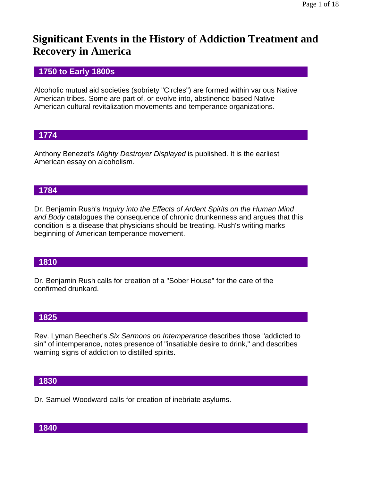# **Significant Events in the History of Addiction Treatment and Recovery in America**

# **1750 to Early 1800s**

Alcoholic mutual aid societies (sobriety "Circles") are formed within various Native American tribes. Some are part of, or evolve into, abstinence-based Native American cultural revitalization movements and temperance organizations.

# **1774**

Anthony Benezet's *Mighty Destroyer Displayed* is published. It is the earliest American essay on alcoholism.

# **1784**

Dr. Benjamin Rush's *Inquiry into the Effects of Ardent Spirits on the Human Mind and Body* catalogues the consequence of chronic drunkenness and argues that this condition is a disease that physicians should be treating. Rush's writing marks beginning of American temperance movement.

# **1810**

Dr. Benjamin Rush calls for creation of a "Sober House" for the care of the confirmed drunkard.

# **1825**

Rev. Lyman Beecher's *Six Sermons on Intemperance* describes those "addicted to sin" of intemperance, notes presence of "insatiable desire to drink," and describes warning signs of addiction to distilled spirits.

# **1830**

Dr. Samuel Woodward calls for creation of inebriate asylums.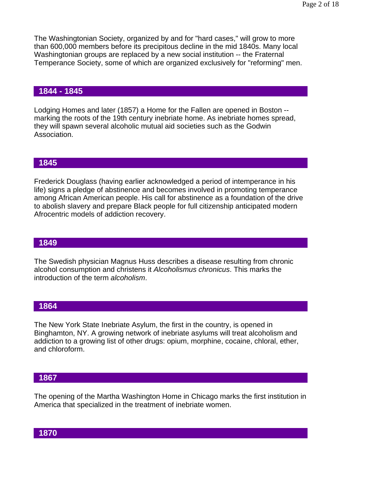The Washingtonian Society, organized by and for "hard cases," will grow to more than 600,000 members before its precipitous decline in the mid 1840s. Many local Washingtonian groups are replaced by a new social institution -- the Fraternal Temperance Society, some of which are organized exclusively for "reforming" men.

### **1844 - 1845**

Lodging Homes and later (1857) a Home for the Fallen are opened in Boston - marking the roots of the 19th century inebriate home. As inebriate homes spread, they will spawn several alcoholic mutual aid societies such as the Godwin Association.

#### **1845**

Frederick Douglass (having earlier acknowledged a period of intemperance in his life) signs a pledge of abstinence and becomes involved in promoting temperance among African American people. His call for abstinence as a foundation of the drive to abolish slavery and prepare Black people for full citizenship anticipated modern Afrocentric models of addiction recovery.

#### **1849**

The Swedish physician Magnus Huss describes a disease resulting from chronic alcohol consumption and christens it *Alcoholismus chronicus*. This marks the introduction of the term *alcoholism*.

#### **1864**

The New York State Inebriate Asylum, the first in the country, is opened in Binghamton, NY. A growing network of inebriate asylums will treat alcoholism and addiction to a growing list of other drugs: opium, morphine, cocaine, chloral, ether, and chloroform.

### **1867**

The opening of the Martha Washington Home in Chicago marks the first institution in America that specialized in the treatment of inebriate women.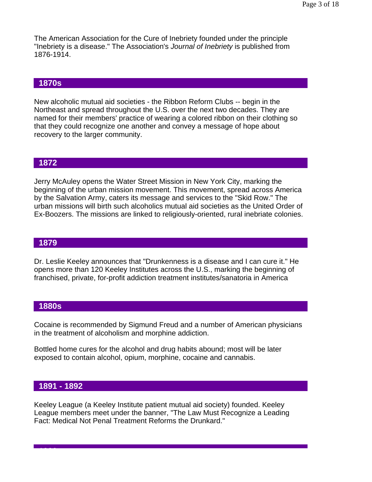The American Association for the Cure of Inebriety founded under the principle "Inebriety is a disease." The Association's *Journal of Inebriety* is published from 1876-1914.

### **1870s**

New alcoholic mutual aid societies - the Ribbon Reform Clubs -- begin in the Northeast and spread throughout the U.S. over the next two decades. They are named for their members' practice of wearing a colored ribbon on their clothing so that they could recognize one another and convey a message of hope about recovery to the larger community.

#### **1872**

Jerry McAuley opens the Water Street Mission in New York City, marking the beginning of the urban mission movement. This movement, spread across America by the Salvation Army, caters its message and services to the "Skid Row." The urban missions will birth such alcoholics mutual aid societies as the United Order of Ex-Boozers. The missions are linked to religiously-oriented, rural inebriate colonies.

#### **1879**

Dr. Leslie Keeley announces that "Drunkenness is a disease and I can cure it." He opens more than 120 Keeley Institutes across the U.S., marking the beginning of franchised, private, for-profit addiction treatment institutes/sanatoria in America

#### **1880s**

Cocaine is recommended by Sigmund Freud and a number of American physicians in the treatment of alcoholism and morphine addiction.

Bottled home cures for the alcohol and drug habits abound; most will be later exposed to contain alcohol, opium, morphine, cocaine and cannabis.

#### **1891 - 1892**

**1900**

Keeley League (a Keeley Institute patient mutual aid society) founded. Keeley League members meet under the banner, "The Law Must Recognize a Leading Fact: Medical Not Penal Treatment Reforms the Drunkard."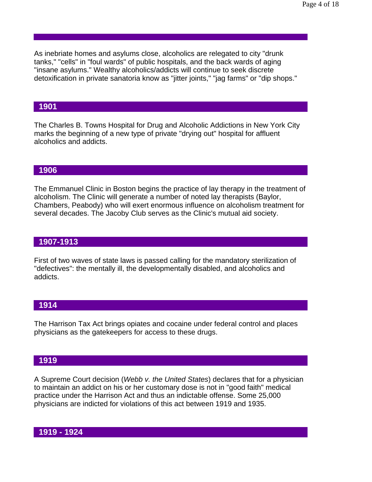As inebriate homes and asylums close, alcoholics are relegated to city "drunk tanks," "cells" in "foul wards" of public hospitals, and the back wards of aging "insane asylums." Wealthy alcoholics/addicts will continue to seek discrete detoxification in private sanatoria know as "jitter joints," "jag farms" or "dip shops."

### **1901**

The Charles B. Towns Hospital for Drug and Alcoholic Addictions in New York City marks the beginning of a new type of private "drying out" hospital for affluent alcoholics and addicts.

#### **1906**

The Emmanuel Clinic in Boston begins the practice of lay therapy in the treatment of alcoholism. The Clinic will generate a number of noted lay therapists (Baylor, Chambers, Peabody) who will exert enormous influence on alcoholism treatment for several decades. The Jacoby Club serves as the Clinic's mutual aid society.

### **1907-1913**

First of two waves of state laws is passed calling for the mandatory sterilization of "defectives": the mentally ill, the developmentally disabled, and alcoholics and addicts.

#### **1914**

The Harrison Tax Act brings opiates and cocaine under federal control and places physicians as the gatekeepers for access to these drugs.

#### **1919**

A Supreme Court decision (*Webb v. the United States*) declares that for a physician to maintain an addict on his or her customary dose is not in "good faith" medical practice under the Harrison Act and thus an indictable offense. Some 25,000 physicians are indicted for violations of this act between 1919 and 1935.

### **1919 - 1924**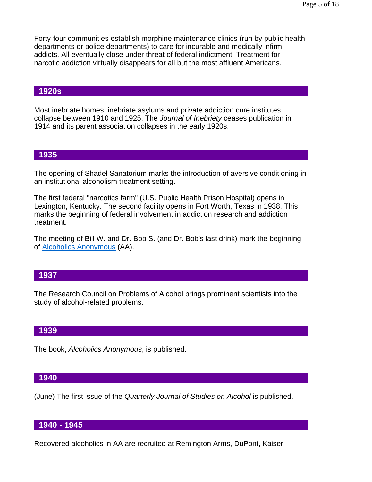Forty-four communities establish morphine maintenance clinics (run by public health departments or police departments) to care for incurable and medically infirm addicts. All eventually close under threat of federal indictment. Treatment for narcotic addiction virtually disappears for all but the most affluent Americans.

#### **1920s**

Most inebriate homes, inebriate asylums and private addiction cure institutes collapse between 1910 and 1925. The *Journal of Inebriety* ceases publication in 1914 and its parent association collapses in the early 1920s.

#### **1935**

The opening of Shadel Sanatorium marks the introduction of aversive conditioning in an institutional alcoholism treatment setting.

The first federal "narcotics farm" (U.S. Public Health Prison Hospital) opens in Lexington, Kentucky. The second facility opens in Fort Worth, Texas in 1938. This marks the beginning of federal involvement in addiction research and addiction treatment.

The meeting of Bill W. and Dr. Bob S. (and Dr. Bob's last drink) mark the beginning of Alcoholics Anonymous (AA).

## **1937**

The Research Council on Problems of Alcohol brings prominent scientists into the study of alcohol-related problems.

#### **1939**

The book, *Alcoholics Anonymous*, is published.

#### **1940**

(June) The first issue of the *Quarterly Journal of Studies on Alcohol* is published.

#### **1940 - 1945**

Recovered alcoholics in AA are recruited at Remington Arms, DuPont, Kaiser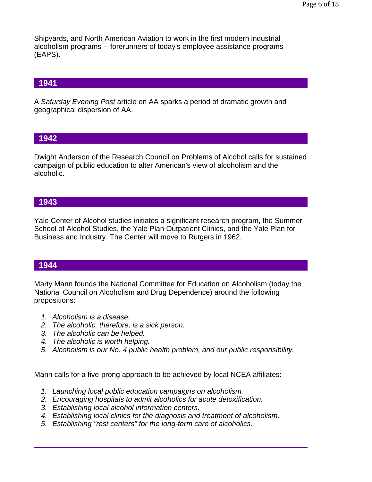Shipyards, and North American Aviation to work in the first modern industrial alcoholism programs -- forerunners of today's employee assistance programs (EAPS).

# **1941**

A *Saturday Evening Post* article on AA sparks a period of dramatic growth and geographical dispersion of AA.

### **1942**

Dwight Anderson of the Research Council on Problems of Alcohol calls for sustained campaign of public education to alter American's view of alcoholism and the alcoholic.

### **1943**

Yale Center of Alcohol studies initiates a significant research program, the Summer School of Alcohol Studies, the Yale Plan Outpatient Clinics, and the Yale Plan for Business and Industry. The Center will move to Rutgers in 1962.

### **1944**

Marty Mann founds the National Committee for Education on Alcoholism (today the National Council on Alcoholism and Drug Dependence) around the following propositions:

- *1. Alcoholism is a disease.*
- *2. The alcoholic, therefore, is a sick person.*
- *3. The alcoholic can be helped.*
- *4. The alcoholic is worth helping.*
- *5. Alcoholism is our No. 4 public health problem, and our public responsibility.*

Mann calls for a five-prong approach to be achieved by local NCEA affiliates:

- *1. Launching local public education campaigns on alcoholism.*
- *2. Encouraging hospitals to admit alcoholics for acute detoxification.*
- *3. Establishing local alcohol information centers.*
- *4. Establishing local clinics for the diagnosis and treatment of alcoholism.*
- *5. Establishing "rest centers" for the long-term care of alcoholics.*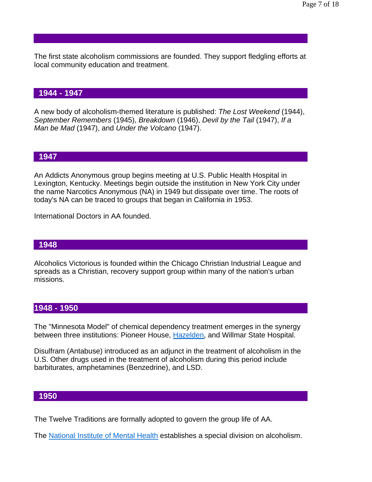The first state alcoholism commissions are founded. They support fledgling efforts at local community education and treatment.

### **1944 - 1947**

A new body of alcoholism-themed literature is published: *The Lost Weekend* (1944), *September Remembers* (1945), *Breakdown* (1946), *Devil by the Tail* (1947), *If a Man be Mad* (1947), and *Under the Volcano* (1947).

#### **1947**

An Addicts Anonymous group begins meeting at U.S. Public Health Hospital in Lexington, Kentucky. Meetings begin outside the institution in New York City under the name Narcotics Anonymous (NA) in 1949 but dissipate over time. The roots of today's NA can be traced to groups that began in California in 1953.

International Doctors in AA founded.

#### **1948**

Alcoholics Victorious is founded within the Chicago Christian Industrial League and spreads as a Christian, recovery support group within many of the nation's urban missions.

### **1948 - 1950**

The "Minnesota Model" of chemical dependency treatment emerges in the synergy between three institutions: Pioneer House, Hazelden, and Willmar State Hospital.

Disulfram (Antabuse) introduced as an adjunct in the treatment of alcoholism in the U.S. Other drugs used in the treatment of alcoholism during this period include barbiturates, amphetamines (Benzedrine), and LSD.

#### **1950**

The Twelve Traditions are formally adopted to govern the group life of AA.

The National Institute of Mental Health establishes a special division on alcoholism.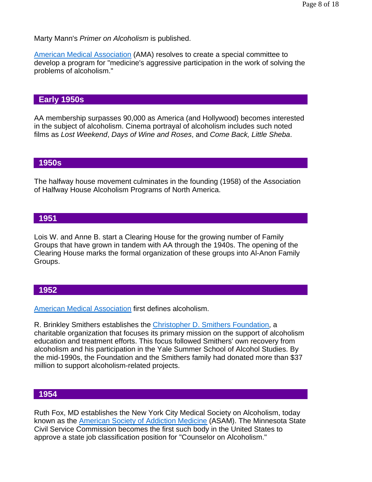Marty Mann's *Primer on Alcoholism* is published.

American Medical Association (AMA) resolves to create a special committee to develop a program for "medicine's aggressive participation in the work of solving the problems of alcoholism."

## **Early 1950s**

AA membership surpasses 90,000 as America (and Hollywood) becomes interested in the subject of alcoholism. Cinema portrayal of alcoholism includes such noted films as *Lost Weekend*, *Days of Wine and Roses*, and *Come Back, Little Sheba*.

### **1950s**

The halfway house movement culminates in the founding (1958) of the Association of Halfway House Alcoholism Programs of North America.

## **1951**

Lois W. and Anne B. start a Clearing House for the growing number of Family Groups that have grown in tandem with AA through the 1940s. The opening of the Clearing House marks the formal organization of these groups into Al-Anon Family Groups.

### **1952**

American Medical Association first defines alcoholism.

R. Brinkley Smithers establishes the Christopher D. Smithers Foundation, a charitable organization that focuses its primary mission on the support of alcoholism education and treatment efforts. This focus followed Smithers' own recovery from alcoholism and his participation in the Yale Summer School of Alcohol Studies. By the mid-1990s, the Foundation and the Smithers family had donated more than \$37 million to support alcoholism-related projects.

### **1954**

Ruth Fox, MD establishes the New York City Medical Society on Alcoholism, today known as the American Society of Addiction Medicine (ASAM). The Minnesota State Civil Service Commission becomes the first such body in the United States to approve a state job classification position for "Counselor on Alcoholism."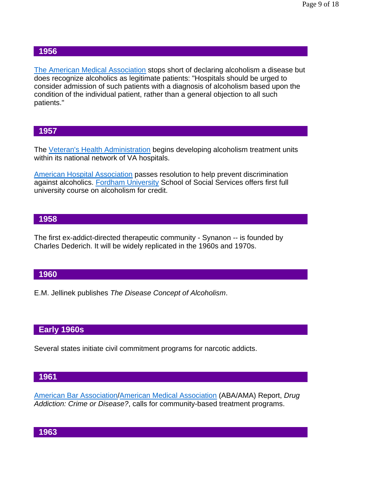The American Medical Association stops short of declaring alcoholism a disease but does recognize alcoholics as legitimate patients: "Hospitals should be urged to consider admission of such patients with a diagnosis of alcoholism based upon the condition of the individual patient, rather than a general objection to all such patients."

### **1957**

The Veteran's Health Administration begins developing alcoholism treatment units within its national network of VA hospitals.

American Hospital Association passes resolution to help prevent discrimination against alcoholics. Fordham University School of Social Services offers first full university course on alcoholism for credit.

#### **1958**

The first ex-addict-directed therapeutic community - Synanon -- is founded by Charles Dederich. It will be widely replicated in the 1960s and 1970s.

#### **1960**

E.M. Jellinek publishes *The Disease Concept of Alcoholism*.

### **Early 1960s**

Several states initiate civil commitment programs for narcotic addicts.

#### **1961**

American Bar Association/American Medical Association (ABA/AMA) Report, *Drug Addiction: Crime or Disease?*, calls for community-based treatment programs.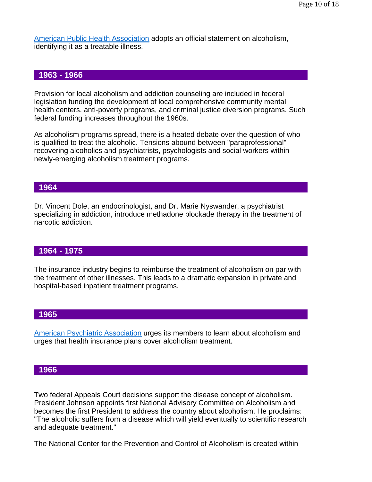American Public Health Association adopts an official statement on alcoholism, identifying it as a treatable illness.

### **1963 - 1966**

Provision for local alcoholism and addiction counseling are included in federal legislation funding the development of local comprehensive community mental health centers, anti-poverty programs, and criminal justice diversion programs. Such federal funding increases throughout the 1960s.

As alcoholism programs spread, there is a heated debate over the question of who is qualified to treat the alcoholic. Tensions abound between "paraprofessional" recovering alcoholics and psychiatrists, psychologists and social workers within newly-emerging alcoholism treatment programs.

### **1964**

Dr. Vincent Dole, an endocrinologist, and Dr. Marie Nyswander, a psychiatrist specializing in addiction, introduce methadone blockade therapy in the treatment of narcotic addiction.

#### **1964 - 1975**

The insurance industry begins to reimburse the treatment of alcoholism on par with the treatment of other illnesses. This leads to a dramatic expansion in private and hospital-based inpatient treatment programs.

### **1965**

American Psychiatric Association urges its members to learn about alcoholism and urges that health insurance plans cover alcoholism treatment.

#### **1966**

Two federal Appeals Court decisions support the disease concept of alcoholism. President Johnson appoints first National Advisory Committee on Alcoholism and becomes the first President to address the country about alcoholism. He proclaims: "The alcoholic suffers from a disease which will yield eventually to scientific research and adequate treatment."

The National Center for the Prevention and Control of Alcoholism is created within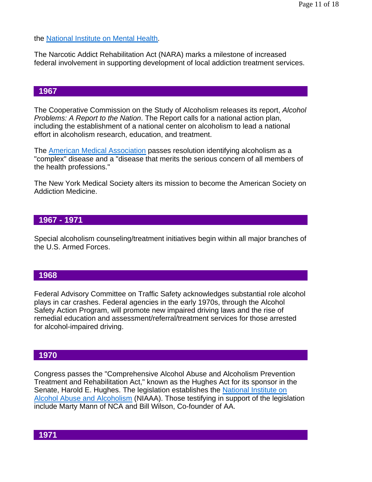the National Institute on Mental Health.

The Narcotic Addict Rehabilitation Act (NARA) marks a milestone of increased federal involvement in supporting development of local addiction treatment services.

### **1967**

The Cooperative Commission on the Study of Alcoholism releases its report, *Alcohol Problems: A Report to the Nation*. The Report calls for a national action plan, including the establishment of a national center on alcoholism to lead a national effort in alcoholism research, education, and treatment.

The American Medical Association passes resolution identifying alcoholism as a "complex" disease and a "disease that merits the serious concern of all members of the health professions."

The New York Medical Society alters its mission to become the American Society on Addiction Medicine.

### **1967 - 1971**

Special alcoholism counseling/treatment initiatives begin within all major branches of the U.S. Armed Forces.

### **1968**

Federal Advisory Committee on Traffic Safety acknowledges substantial role alcohol plays in car crashes. Federal agencies in the early 1970s, through the Alcohol Safety Action Program, will promote new impaired driving laws and the rise of remedial education and assessment/referral/treatment services for those arrested for alcohol-impaired driving.

# **1970**

Congress passes the "Comprehensive Alcohol Abuse and Alcoholism Prevention Treatment and Rehabilitation Act," known as the Hughes Act for its sponsor in the Senate, Harold E. Hughes. The legislation establishes the National Institute on Alcohol Abuse and Alcoholism (NIAAA). Those testifying in support of the legislation include Marty Mann of NCA and Bill Wilson, Co-founder of AA.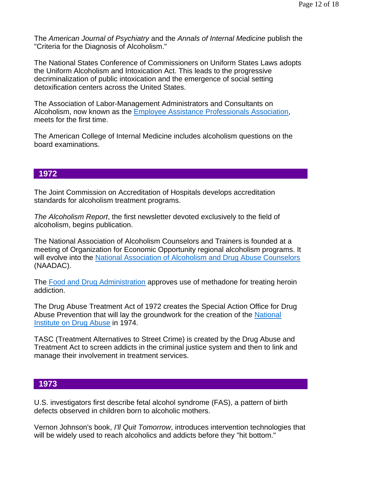The *American Journal of Psychiatry* and the *Annals of Internal Medicine* publish the "Criteria for the Diagnosis of Alcoholism."

The National States Conference of Commissioners on Uniform States Laws adopts the Uniform Alcoholism and Intoxication Act. This leads to the progressive decriminalization of public intoxication and the emergence of social setting detoxification centers across the United States.

The Association of Labor-Management Administrators and Consultants on Alcoholism, now known as the Employee Assistance Professionals Association, meets for the first time.

The American College of Internal Medicine includes alcoholism questions on the board examinations.

### **1972**

The Joint Commission on Accreditation of Hospitals develops accreditation standards for alcoholism treatment programs.

*The Alcoholism Report*, the first newsletter devoted exclusively to the field of alcoholism, begins publication.

The National Association of Alcoholism Counselors and Trainers is founded at a meeting of Organization for Economic Opportunity regional alcoholism programs. It will evolve into the National Association of Alcoholism and Drug Abuse Counselors (NAADAC).

The Food and Drug Administration approves use of methadone for treating heroin addiction.

The Drug Abuse Treatment Act of 1972 creates the Special Action Office for Drug Abuse Prevention that will lay the groundwork for the creation of the National Institute on Drug Abuse in 1974.

TASC (Treatment Alternatives to Street Crime) is created by the Drug Abuse and Treatment Act to screen addicts in the criminal justice system and then to link and manage their involvement in treatment services.

### **1973**

U.S. investigators first describe fetal alcohol syndrome (FAS), a pattern of birth defects observed in children born to alcoholic mothers.

Vernon Johnson's book, *I'll Quit Tomorrow*, introduces intervention technologies that will be widely used to reach alcoholics and addicts before they "hit bottom."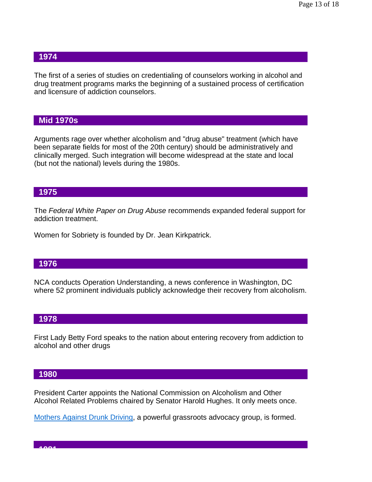The first of a series of studies on credentialing of counselors working in alcohol and drug treatment programs marks the beginning of a sustained process of certification and licensure of addiction counselors.

### **Mid 1970s**

Arguments rage over whether alcoholism and "drug abuse" treatment (which have been separate fields for most of the 20th century) should be administratively and clinically merged. Such integration will become widespread at the state and local (but not the national) levels during the 1980s.

### **1975**

The *Federal White Paper on Drug Abuse* recommends expanded federal support for addiction treatment.

Women for Sobriety is founded by Dr. Jean Kirkpatrick.

#### **1976**

NCA conducts Operation Understanding, a news conference in Washington, DC where 52 prominent individuals publicly acknowledge their recovery from alcoholism.

### **1978**

First Lady Betty Ford speaks to the nation about entering recovery from addiction to alcohol and other drugs

#### **1980**

**1981**

President Carter appoints the National Commission on Alcoholism and Other Alcohol Related Problems chaired by Senator Harold Hughes. It only meets once.

Mothers Against Drunk Driving, a powerful grassroots advocacy group, is formed.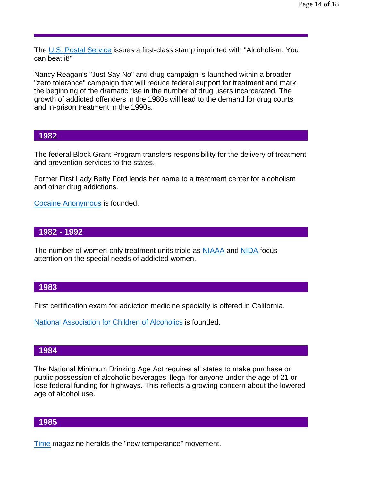The U.S. Postal Service issues a first-class stamp imprinted with "Alcoholism. You can beat it!"

Nancy Reagan's "Just Say No" anti-drug campaign is launched within a broader "zero tolerance" campaign that will reduce federal support for treatment and mark the beginning of the dramatic rise in the number of drug users incarcerated. The growth of addicted offenders in the 1980s will lead to the demand for drug courts and in-prison treatment in the 1990s.

#### **1982**

The federal Block Grant Program transfers responsibility for the delivery of treatment and prevention services to the states.

Former First Lady Betty Ford lends her name to a treatment center for alcoholism and other drug addictions.

Cocaine Anonymous is founded.

#### **1982 - 1992**

The number of women-only treatment units triple as **NIAAA** and NIDA focus attention on the special needs of addicted women.

#### **1983**

First certification exam for addiction medicine specialty is offered in California.

National Association for Children of Alcoholics is founded.

#### **1984**

The National Minimum Drinking Age Act requires all states to make purchase or public possession of alcoholic beverages illegal for anyone under the age of 21 or lose federal funding for highways. This reflects a growing concern about the lowered age of alcohol use.

#### **1985**

Time magazine heralds the "new temperance" movement.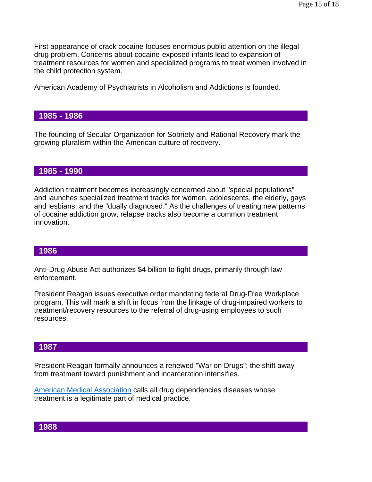First appearance of crack cocaine focuses enormous public attention on the illegal drug problem. Concerns about cocaine-exposed infants lead to expansion of treatment resources for women and specialized programs to treat women involved in the child protection system.

American Academy of Psychiatrists in Alcoholism and Addictions is founded.

### **1985 - 1986**

The founding of Secular Organization for Sobriety and Rational Recovery mark the growing pluralism within the American culture of recovery.

### **1985 - 1990**

Addiction treatment becomes increasingly concerned about "special populations" and launches specialized treatment tracks for women, adolescents, the elderly, gays and lesbians, and the "dually diagnosed." As the challenges of treating new patterns of cocaine addiction grow, relapse tracks also become a common treatment innovation.

### **1986**

Anti-Drug Abuse Act authorizes \$4 billion to fight drugs, primarily through law enforcement.

President Reagan issues executive order mandating federal Drug-Free Workplace program. This will mark a shift in focus from the linkage of drug-impaired workers to treatment/recovery resources to the referral of drug-using employees to such resources.

### **1987**

President Reagan formally announces a renewed "War on Drugs"; the shift away from treatment toward punishment and incarceration intensifies.

American Medical Association calls all drug dependencies diseases whose treatment is a legitimate part of medical practice.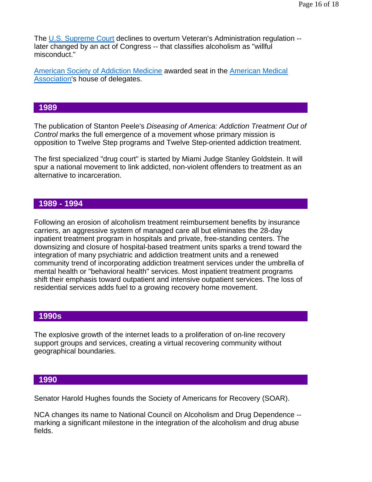The U.S. Supreme Court declines to overturn Veteran's Administration regulation - later changed by an act of Congress -- that classifies alcoholism as "willful misconduct."

American Society of Addiction Medicine awarded seat in the American Medical Association's house of delegates.

## **1989**

The publication of Stanton Peele's *Diseasing of America: Addiction Treatment Out of Control* marks the full emergence of a movement whose primary mission is opposition to Twelve Step programs and Twelve Step-oriented addiction treatment.

The first specialized "drug court" is started by Miami Judge Stanley Goldstein. It will spur a national movement to link addicted, non-violent offenders to treatment as an alternative to incarceration.

### **1989 - 1994**

Following an erosion of alcoholism treatment reimbursement benefits by insurance carriers, an aggressive system of managed care all but eliminates the 28-day inpatient treatment program in hospitals and private, free-standing centers. The downsizing and closure of hospital-based treatment units sparks a trend toward the integration of many psychiatric and addiction treatment units and a renewed community trend of incorporating addiction treatment services under the umbrella of mental health or "behavioral health" services. Most inpatient treatment programs shift their emphasis toward outpatient and intensive outpatient services. The loss of residential services adds fuel to a growing recovery home movement.

#### **1990s**

The explosive growth of the internet leads to a proliferation of on-line recovery support groups and services, creating a virtual recovering community without geographical boundaries.

#### **1990**

Senator Harold Hughes founds the Society of Americans for Recovery (SOAR).

NCA changes its name to National Council on Alcoholism and Drug Dependence - marking a significant milestone in the integration of the alcoholism and drug abuse fields.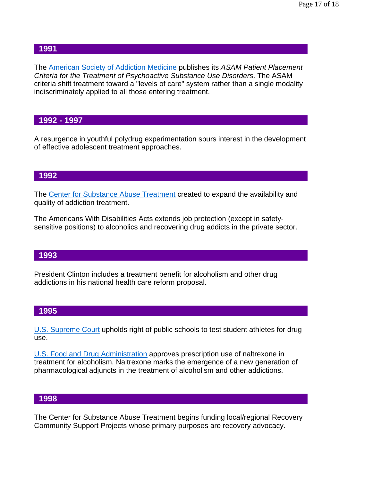The American Society of Addiction Medicine publishes its *ASAM Patient Placement Criteria for the Treatment of Psychoactive Substance Use Disorders*. The ASAM criteria shift treatment toward a "levels of care" system rather than a single modality indiscriminately applied to all those entering treatment.

# **1992 - 1997**

A resurgence in youthful polydrug experimentation spurs interest in the development of effective adolescent treatment approaches.

#### **1992**

The Center for Substance Abuse Treatment created to expand the availability and quality of addiction treatment.

The Americans With Disabilities Acts extends job protection (except in safetysensitive positions) to alcoholics and recovering drug addicts in the private sector.

#### **1993**

President Clinton includes a treatment benefit for alcoholism and other drug addictions in his national health care reform proposal.

### **1995**

U.S. Supreme Court upholds right of public schools to test student athletes for drug use.

U.S. Food and Drug Administration approves prescription use of naltrexone in treatment for alcoholism. Naltrexone marks the emergence of a new generation of pharmacological adjuncts in the treatment of alcoholism and other addictions.

#### **1998**

The Center for Substance Abuse Treatment begins funding local/regional Recovery Community Support Projects whose primary purposes are recovery advocacy.